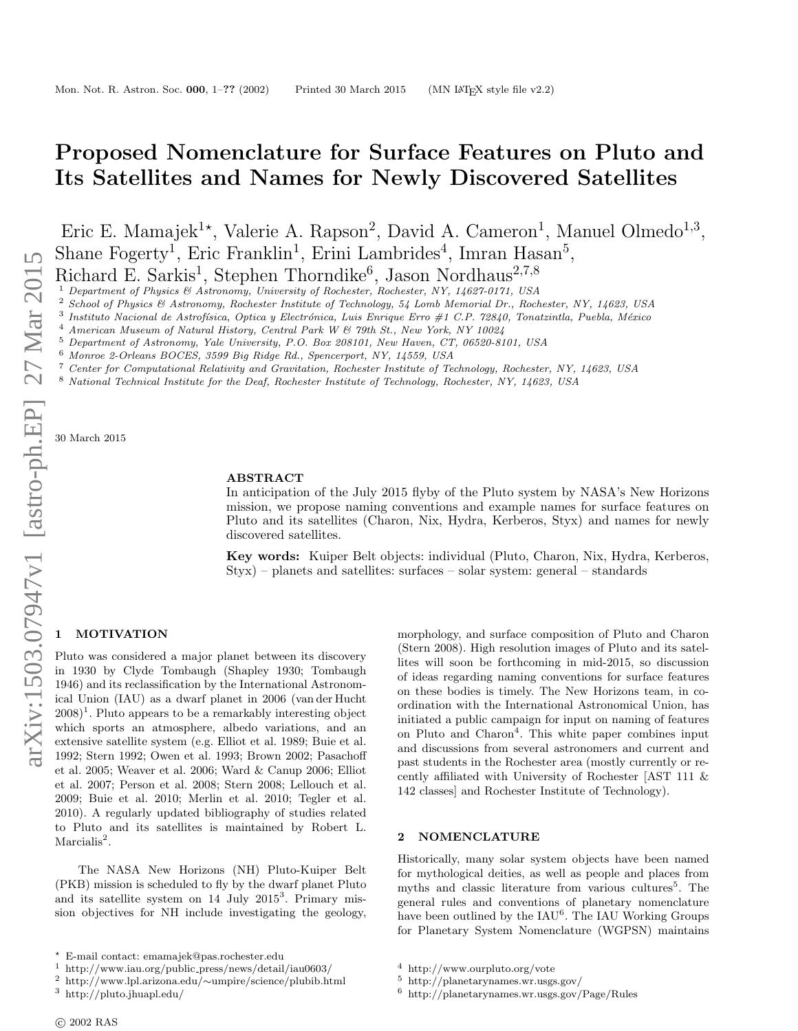# Proposed Nomenclature for Surface Features on Pluto and Its Satellites and Names for Newly Discovered Satellites

Eric E. Mamajek<sup>1\*</sup>, Valerie A. Rapson<sup>2</sup>, David A. Cameron<sup>1</sup>, Manuel Olmedo<sup>1,3</sup>, Shane Fogerty<sup>1</sup>, Eric Franklin<sup>1</sup>, Erini Lambrides<sup>4</sup>, Imran Hasan<sup>5</sup>, Richard E. Sarkis<sup>1</sup>, Stephen Thorndike<sup>6</sup>, Jason Nordhaus<sup>2,7,8</sup>

<sup>1</sup> Department of Physics & Astronomy, University of Rochester, Rochester, NY, 14627-0171, USA

<sup>2</sup> School of Physics & Astronomy, Rochester Institute of Technology, 54 Lomb Memorial Dr., Rochester, NY, 14623, USA

3 Instituto Nacional de Astrofísica, Optica y Electrónica, Luis Enrique Erro #1 C.P. 72840, Tonatzintla, Puebla, México

<sup>4</sup> American Museum of Natural History, Central Park W & 79th St., New York, NY 10024

<sup>5</sup> Department of Astronomy, Yale University, P.O. Box 208101, New Haven, CT, 06520-8101, USA

- <sup>6</sup> Monroe 2-Orleans BOCES, 3599 Big Ridge Rd., Spencerport, NY, 14559, USA
- <sup>7</sup> Center for Computational Relativity and Gravitation, Rochester Institute of Technology, Rochester, NY, 14623, USA
- <sup>8</sup> National Technical Institute for the Deaf, Rochester Institute of Technology, Rochester, NY, 14623, USA

30 March 2015

## ABSTRACT

In anticipation of the July 2015 flyby of the Pluto system by NASA's New Horizons mission, we propose naming conventions and example names for surface features on Pluto and its satellites (Charon, Nix, Hydra, Kerberos, Styx) and names for newly discovered satellites.

Key words: Kuiper Belt objects: individual (Pluto, Charon, Nix, Hydra, Kerberos, Styx) – planets and satellites: surfaces – solar system: general – standards

## **MOTIVATION**

Pluto was considered a major planet between its discovery in 1930 by Clyde Tombaugh (Shapley 1930; Tombaugh 1946) and its reclassification by the International Astronomical Union (IAU) as a dwarf planet in 2006 (van der Hucht  $(2008)^1$ . Pluto appears to be a remarkably interesting object which sports an atmosphere, albedo variations, and an extensive satellite system (e.g. Elliot et al. 1989; Buie et al. 1992; Stern 1992; Owen et al. 1993; Brown 2002; Pasachoff et al. 2005; Weaver et al. 2006; Ward & Canup 2006; Elliot et al. 2007; Person et al. 2008; Stern 2008; Lellouch et al. 2009; Buie et al. 2010; Merlin et al. 2010; Tegler et al. 2010). A regularly updated bibliography of studies related to Pluto and its satellites is maintained by Robert L.  $Marcialis<sup>2</sup>$ .

The NASA New Horizons (NH) Pluto-Kuiper Belt (PKB) mission is scheduled to fly by the dwarf planet Pluto and its satellite system on 14 July 2015<sup>3</sup>. Primary mission objectives for NH include investigating the geology,

morphology, and surface composition of Pluto and Charon (Stern 2008). High resolution images of Pluto and its satellites will soon be forthcoming in mid-2015, so discussion of ideas regarding naming conventions for surface features on these bodies is timely. The New Horizons team, in coordination with the International Astronomical Union, has initiated a public campaign for input on naming of features on Pluto and Charon<sup>4</sup>. This white paper combines input and discussions from several astronomers and current and past students in the Rochester area (mostly currently or recently affiliated with University of Rochester [AST 111 & 142 classes] and Rochester Institute of Technology).

#### 2 NOMENCLATURE

Historically, many solar system objects have been named for mythological deities, as well as people and places from myths and classic literature from various cultures<sup>5</sup>. The general rules and conventions of planetary nomenclature have been outlined by the IAU<sup>6</sup>. The IAU Working Groups for Planetary System Nomenclature (WGPSN) maintains

<sup>?</sup> E-mail contact: emamajek@pas.rochester.edu

 $^{\rm 1}$ http://www.iau.org/public\_press/news/detail/iau0603/

<sup>2</sup> http://www.lpl.arizona.edu/∼umpire/science/plubib.html

<sup>3</sup> http://pluto.jhuapl.edu/

<sup>4</sup> http://www.ourpluto.org/vote

 $^5\,$ http://planetarynames.wr.usgs.gov/

<sup>6</sup> http://planetarynames.wr.usgs.gov/Page/Rules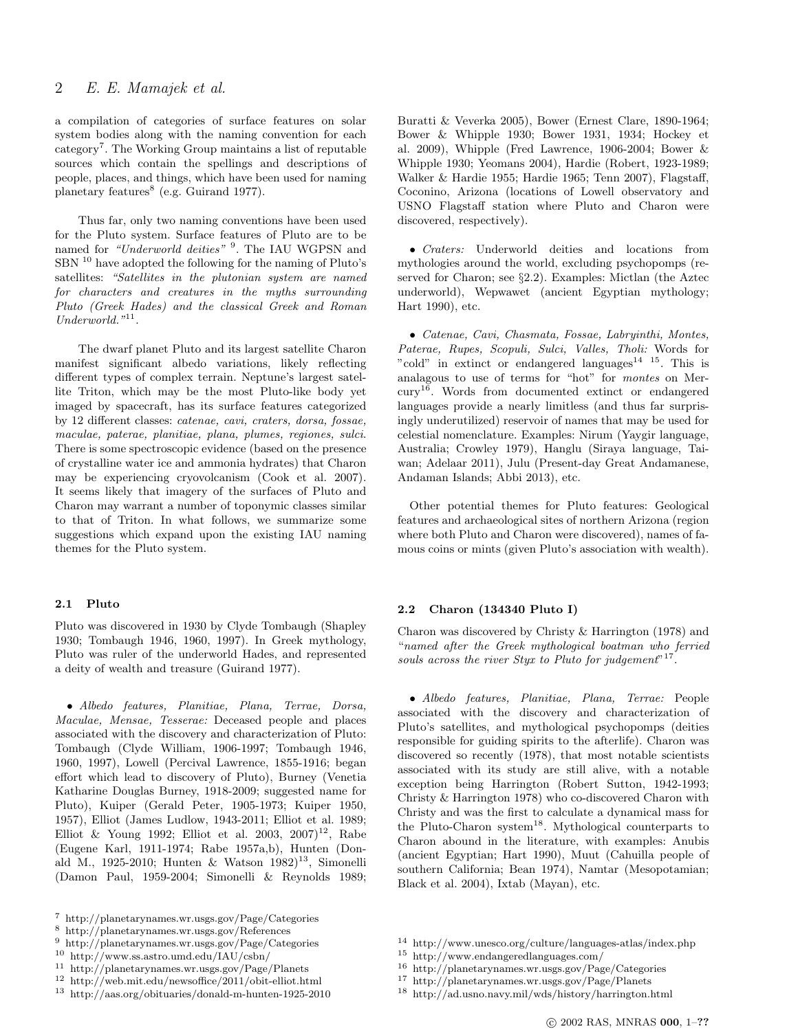# 2 E. E. Mamajek et al.

a compilation of categories of surface features on solar system bodies along with the naming convention for each category<sup>7</sup>. The Working Group maintains a list of reputable sources which contain the spellings and descriptions of people, places, and things, which have been used for naming planetary features<sup>8</sup> (e.g. Guirand 1977).

Thus far, only two naming conventions have been used for the Pluto system. Surface features of Pluto are to be named for "Underworld deities" <sup>9</sup>. The IAU WGPSN and SBN<sup>10</sup> have adopted the following for the naming of Pluto's satellites: "Satellites in the plutonian system are named for characters and creatures in the myths surrounding Pluto (Greek Hades) and the classical Greek and Roman Underworld."<sup>11</sup>.

The dwarf planet Pluto and its largest satellite Charon manifest significant albedo variations, likely reflecting different types of complex terrain. Neptune's largest satellite Triton, which may be the most Pluto-like body yet imaged by spacecraft, has its surface features categorized by 12 different classes: catenae, cavi, craters, dorsa, fossae, maculae, paterae, planitiae, plana, plumes, regiones, sulci. There is some spectroscopic evidence (based on the presence of crystalline water ice and ammonia hydrates) that Charon may be experiencing cryovolcanism (Cook et al. 2007). It seems likely that imagery of the surfaces of Pluto and Charon may warrant a number of toponymic classes similar to that of Triton. In what follows, we summarize some suggestions which expand upon the existing IAU naming themes for the Pluto system.

#### 2.1 Pluto

Pluto was discovered in 1930 by Clyde Tombaugh (Shapley 1930; Tombaugh 1946, 1960, 1997). In Greek mythology, Pluto was ruler of the underworld Hades, and represented a deity of wealth and treasure (Guirand 1977).

• Albedo features, Planitiae, Plana, Terrae, Dorsa, Maculae, Mensae, Tesserae: Deceased people and places associated with the discovery and characterization of Pluto: Tombaugh (Clyde William, 1906-1997; Tombaugh 1946, 1960, 1997), Lowell (Percival Lawrence, 1855-1916; began effort which lead to discovery of Pluto), Burney (Venetia Katharine Douglas Burney, 1918-2009; suggested name for Pluto), Kuiper (Gerald Peter, 1905-1973; Kuiper 1950, 1957), Elliot (James Ludlow, 1943-2011; Elliot et al. 1989; Elliot & Young 1992; Elliot et al. 2003,  $2007$ <sup>12</sup>, Rabe (Eugene Karl, 1911-1974; Rabe 1957a,b), Hunten (Donald M., 1925-2010; Hunten & Watson  $1982$ <sup>13</sup>, Simonelli (Damon Paul, 1959-2004; Simonelli & Reynolds 1989; Buratti & Veverka 2005), Bower (Ernest Clare, 1890-1964; Bower & Whipple 1930; Bower 1931, 1934; Hockey et al. 2009), Whipple (Fred Lawrence, 1906-2004; Bower & Whipple 1930; Yeomans 2004), Hardie (Robert, 1923-1989; Walker & Hardie 1955; Hardie 1965; Tenn 2007), Flagstaff, Coconino, Arizona (locations of Lowell observatory and USNO Flagstaff station where Pluto and Charon were discovered, respectively).

• Craters: Underworld deities and locations from mythologies around the world, excluding psychopomps (reserved for Charon; see §2.2). Examples: Mictlan (the Aztec underworld), Wepwawet (ancient Egyptian mythology; Hart 1990), etc.

• Catenae, Cavi, Chasmata, Fossae, Labryinthi, Montes, Paterae, Rupes, Scopuli, Sulci, Valles, Tholi: Words for "cold" in extinct or endangered languages $14 \text{ } 15$ . This is analagous to use of terms for "hot" for montes on Mercury<sup>16</sup>. Words from documented extinct or endangered languages provide a nearly limitless (and thus far surprisingly underutilized) reservoir of names that may be used for celestial nomenclature. Examples: Nirum (Yaygir language, Australia; Crowley 1979), Hanglu (Siraya language, Taiwan; Adelaar 2011), Julu (Present-day Great Andamanese, Andaman Islands; Abbi 2013), etc.

Other potential themes for Pluto features: Geological features and archaeological sites of northern Arizona (region where both Pluto and Charon were discovered), names of famous coins or mints (given Pluto's association with wealth).

# 2.2 Charon (134340 Pluto I)

Charon was discovered by Christy & Harrington (1978) and "named after the Greek mythological boatman who ferried souls across the river Styx to Pluto for judgement"<sup>17</sup>.

• Albedo features, Planitiae, Plana, Terrae: People associated with the discovery and characterization of Pluto's satellites, and mythological psychopomps (deities responsible for guiding spirits to the afterlife). Charon was discovered so recently (1978), that most notable scientists associated with its study are still alive, with a notable exception being Harrington (Robert Sutton, 1942-1993; Christy & Harrington 1978) who co-discovered Charon with Christy and was the first to calculate a dynamical mass for the Pluto-Charon system<sup>18</sup>. Mythological counterparts to Charon abound in the literature, with examples: Anubis (ancient Egyptian; Hart 1990), Muut (Cahuilla people of southern California; Bean 1974), Namtar (Mesopotamian; Black et al. 2004), Ixtab (Mayan), etc.

<sup>7</sup> http://planetarynames.wr.usgs.gov/Page/Categories

<sup>8</sup> http://planetarynames.wr.usgs.gov/References

<sup>9</sup> http://planetarynames.wr.usgs.gov/Page/Categories

<sup>10</sup> http://www.ss.astro.umd.edu/IAU/csbn/

<sup>11</sup> http://planetarynames.wr.usgs.gov/Page/Planets

 $^{12}\,$ http://web.mit.edu/newsoffice/2011/obit-elliot.html

<sup>13</sup> http://aas.org/obituaries/donald-m-hunten-1925-2010

<sup>14</sup> http://www.unesco.org/culture/languages-atlas/index.php

<sup>15</sup> http://www.endangeredlanguages.com/

<sup>16</sup> http://planetarynames.wr.usgs.gov/Page/Categories

<sup>17</sup> http://planetarynames.wr.usgs.gov/Page/Planets

<sup>18</sup> http://ad.usno.navy.mil/wds/history/harrington.html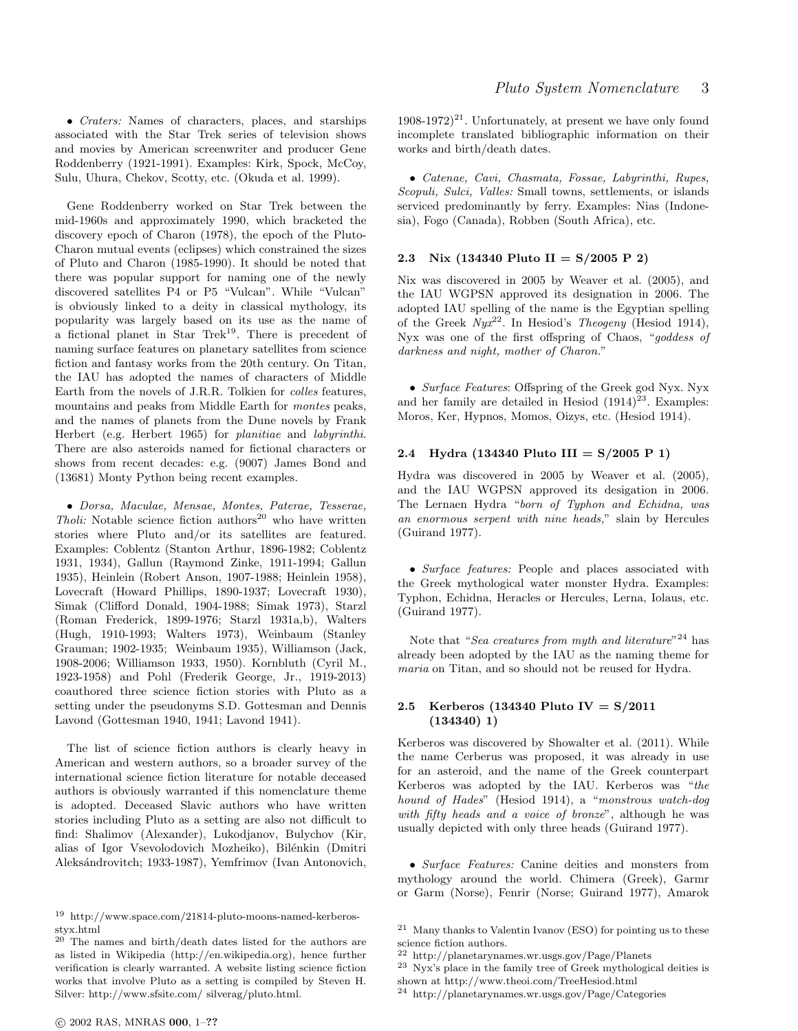• Craters: Names of characters, places, and starships associated with the Star Trek series of television shows and movies by American screenwriter and producer Gene Roddenberry (1921-1991). Examples: Kirk, Spock, McCoy, Sulu, Uhura, Chekov, Scotty, etc. (Okuda et al. 1999).

Gene Roddenberry worked on Star Trek between the mid-1960s and approximately 1990, which bracketed the discovery epoch of Charon (1978), the epoch of the Pluto-Charon mutual events (eclipses) which constrained the sizes of Pluto and Charon (1985-1990). It should be noted that there was popular support for naming one of the newly discovered satellites P4 or P5 "Vulcan". While "Vulcan" is obviously linked to a deity in classical mythology, its popularity was largely based on its use as the name of a fictional planet in Star Trek<sup>19</sup>. There is precedent of naming surface features on planetary satellites from science fiction and fantasy works from the 20th century. On Titan, the IAU has adopted the names of characters of Middle Earth from the novels of J.R.R. Tolkien for colles features, mountains and peaks from Middle Earth for montes peaks, and the names of planets from the Dune novels by Frank Herbert (e.g. Herbert 1965) for planitiae and labyrinthi. There are also asteroids named for fictional characters or shows from recent decades: e.g. (9007) James Bond and (13681) Monty Python being recent examples.

• Dorsa, Maculae, Mensae, Montes, Paterae, Tesserae, Tholi: Notable science fiction authors<sup>20</sup> who have written stories where Pluto and/or its satellites are featured. Examples: Coblentz (Stanton Arthur, 1896-1982; Coblentz 1931, 1934), Gallun (Raymond Zinke, 1911-1994; Gallun 1935), Heinlein (Robert Anson, 1907-1988; Heinlein 1958), Lovecraft (Howard Phillips, 1890-1937; Lovecraft 1930), Simak (Clifford Donald, 1904-1988; Simak 1973), Starzl (Roman Frederick, 1899-1976; Starzl 1931a,b), Walters (Hugh, 1910-1993; Walters 1973), Weinbaum (Stanley Grauman; 1902-1935; Weinbaum 1935), Williamson (Jack, 1908-2006; Williamson 1933, 1950). Kornbluth (Cyril M., 1923-1958) and Pohl (Frederik George, Jr., 1919-2013) coauthored three science fiction stories with Pluto as a setting under the pseudonyms S.D. Gottesman and Dennis Lavond (Gottesman 1940, 1941; Lavond 1941).

The list of science fiction authors is clearly heavy in American and western authors, so a broader survey of the international science fiction literature for notable deceased authors is obviously warranted if this nomenclature theme is adopted. Deceased Slavic authors who have written stories including Pluto as a setting are also not difficult to find: Shalimov (Alexander), Lukodjanov, Bulychov (Kir, alias of Igor Vsevolodovich Mozheiko), Bilénkin (Dmitri Aleks´androvitch; 1933-1987), Yemfrimov (Ivan Antonovich,

 $1908-1972$ <sup>21</sup>. Unfortunately, at present we have only found incomplete translated bibliographic information on their works and birth/death dates.

• Catenae, Cavi, Chasmata, Fossae, Labyrinthi, Rupes, Scopuli, Sulci, Valles: Small towns, settlements, or islands serviced predominantly by ferry. Examples: Nias (Indonesia), Fogo (Canada), Robben (South Africa), etc.

# 2.3 Nix (134340 Pluto II =  $S/2005$  P 2)

Nix was discovered in 2005 by Weaver et al. (2005), and the IAU WGPSN approved its designation in 2006. The adopted IAU spelling of the name is the Egyptian spelling of the Greek  $Nyx^{22}$ . In Hesiod's Theogeny (Hesiod 1914), Nyx was one of the first offspring of Chaos, "goddess of darkness and night, mother of Charon."

• Surface Features: Offspring of the Greek god Nyx. Nyx and her family are detailed in Hesiod  $(1914)^{23}$ . Examples: Moros, Ker, Hypnos, Momos, Oizys, etc. (Hesiod 1914).

# 2.4 Hydra (134340 Pluto III =  $S/2005$  P 1)

Hydra was discovered in 2005 by Weaver et al. (2005), and the IAU WGPSN approved its desigation in 2006. The Lernaen Hydra "born of Typhon and Echidna, was an enormous serpent with nine heads," slain by Hercules (Guirand 1977).

• Surface features: People and places associated with the Greek mythological water monster Hydra. Examples: Typhon, Echidna, Heracles or Hercules, Lerna, Iolaus, etc. (Guirand 1977).

Note that "Sea creatures from myth and literature"<sup>24</sup> has already been adopted by the IAU as the naming theme for maria on Titan, and so should not be reused for Hydra.

## 2.5 Kerberos (134340 Pluto IV = S/2011 (134340) 1)

Kerberos was discovered by Showalter et al. (2011). While the name Cerberus was proposed, it was already in use for an asteroid, and the name of the Greek counterpart Kerberos was adopted by the IAU. Kerberos was "the hound of Hades" (Hesiod 1914), a "monstrous watch-dog with fifty heads and a voice of bronze", although he was usually depicted with only three heads (Guirand 1977).

• Surface Features: Canine deities and monsters from mythology around the world. Chimera (Greek), Garmr or Garm (Norse), Fenrir (Norse; Guirand 1977), Amarok

<sup>19</sup> http://www.space.com/21814-pluto-moons-named-kerberosstyx.html

<sup>20</sup> The names and birth/death dates listed for the authors are as listed in Wikipedia (http://en.wikipedia.org), hence further verification is clearly warranted. A website listing science fiction works that involve Pluto as a setting is compiled by Steven H. Silver: http://www.sfsite.com/ silverag/pluto.html.

<sup>21</sup> Many thanks to Valentin Ivanov (ESO) for pointing us to these science fiction authors.

<sup>22</sup> http://planetarynames.wr.usgs.gov/Page/Planets

<sup>23</sup> Nyx's place in the family tree of Greek mythological deities is shown at http://www.theoi.com/TreeHesiod.html

<sup>24</sup> http://planetarynames.wr.usgs.gov/Page/Categories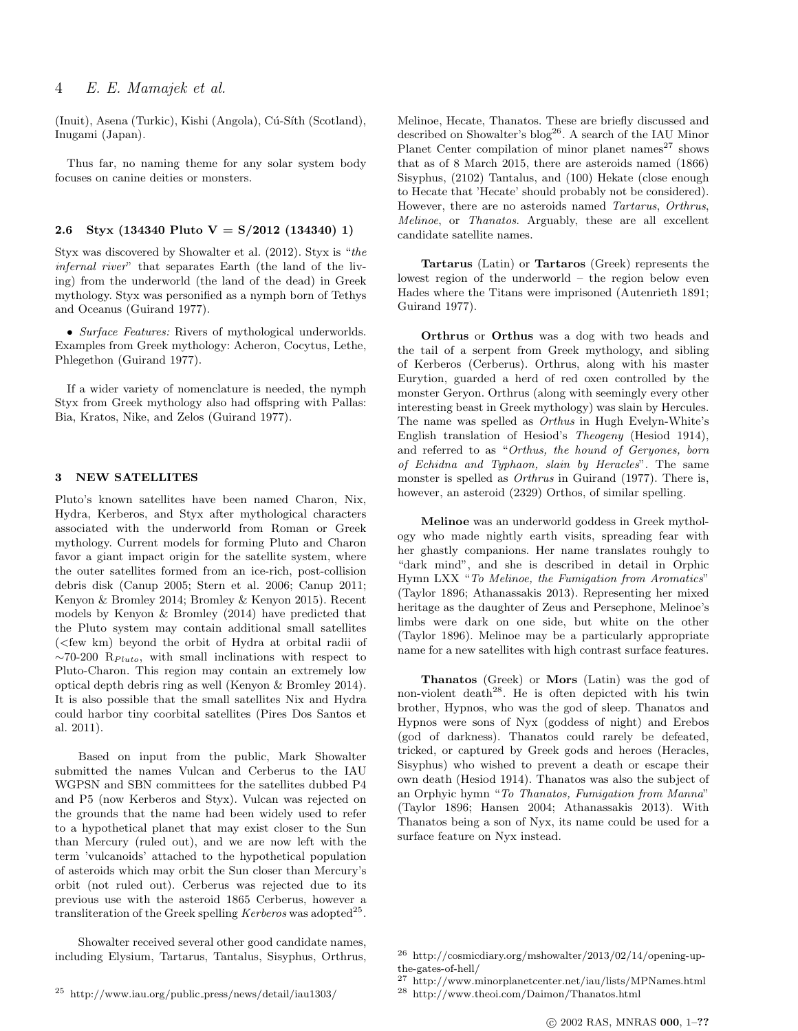(Inuit), Asena (Turkic), Kishi (Angola), Cú-Síth (Scotland), Inugami (Japan).

Thus far, no naming theme for any solar system body focuses on canine deities or monsters.

# 2.6 Styx (134340 Pluto  $V = S/2012$  (134340) 1)

Styx was discovered by Showalter et al. (2012). Styx is "the infernal river" that separates Earth (the land of the living) from the underworld (the land of the dead) in Greek mythology. Styx was personified as a nymph born of Tethys and Oceanus (Guirand 1977).

• Surface Features: Rivers of mythological underworlds. Examples from Greek mythology: Acheron, Cocytus, Lethe, Phlegethon (Guirand 1977).

If a wider variety of nomenclature is needed, the nymph Styx from Greek mythology also had offspring with Pallas: Bia, Kratos, Nike, and Zelos (Guirand 1977).

# 3 NEW SATELLITES

Pluto's known satellites have been named Charon, Nix, Hydra, Kerberos, and Styx after mythological characters associated with the underworld from Roman or Greek mythology. Current models for forming Pluto and Charon favor a giant impact origin for the satellite system, where the outer satellites formed from an ice-rich, post-collision debris disk (Canup 2005; Stern et al. 2006; Canup 2011; Kenyon & Bromley 2014; Bromley & Kenyon 2015). Recent models by Kenyon & Bromley (2014) have predicted that the Pluto system may contain additional small satellites (<few km) beyond the orbit of Hydra at orbital radii of  $\sim$ 70-200 R<sub>Pluto</sub>, with small inclinations with respect to Pluto-Charon. This region may contain an extremely low optical depth debris ring as well (Kenyon & Bromley 2014). It is also possible that the small satellites Nix and Hydra could harbor tiny coorbital satellites (Pires Dos Santos et al. 2011).

Based on input from the public, Mark Showalter submitted the names Vulcan and Cerberus to the IAU WGPSN and SBN committees for the satellites dubbed P4 and P5 (now Kerberos and Styx). Vulcan was rejected on the grounds that the name had been widely used to refer to a hypothetical planet that may exist closer to the Sun than Mercury (ruled out), and we are now left with the term 'vulcanoids' attached to the hypothetical population of asteroids which may orbit the Sun closer than Mercury's orbit (not ruled out). Cerberus was rejected due to its previous use with the asteroid 1865 Cerberus, however a transliteration of the Greek spelling Kerberos was adopted<sup>25</sup>.

Showalter received several other good candidate names, including Elysium, Tartarus, Tantalus, Sisyphus, Orthrus,

Tartarus (Latin) or Tartaros (Greek) represents the lowest region of the underworld – the region below even Hades where the Titans were imprisoned (Autenrieth 1891; Guirand 1977).

Orthrus or Orthus was a dog with two heads and the tail of a serpent from Greek mythology, and sibling of Kerberos (Cerberus). Orthrus, along with his master Eurytion, guarded a herd of red oxen controlled by the monster Geryon. Orthrus (along with seemingly every other interesting beast in Greek mythology) was slain by Hercules. The name was spelled as Orthus in Hugh Evelyn-White's English translation of Hesiod's Theogeny (Hesiod 1914), and referred to as "Orthus, the hound of Geryones, born of Echidna and Typhaon, slain by Heracles". The same monster is spelled as Orthrus in Guirand (1977). There is, however, an asteroid (2329) Orthos, of similar spelling.

Melinoe was an underworld goddess in Greek mythology who made nightly earth visits, spreading fear with her ghastly companions. Her name translates rouhgly to "dark mind", and she is described in detail in Orphic Hymn LXX "To Melinoe, the Fumigation from Aromatics" (Taylor 1896; Athanassakis 2013). Representing her mixed heritage as the daughter of Zeus and Persephone, Melinoe's limbs were dark on one side, but white on the other (Taylor 1896). Melinoe may be a particularly appropriate name for a new satellites with high contrast surface features.

Thanatos (Greek) or Mors (Latin) was the god of non-violent death<sup>28</sup>. He is often depicted with his twin brother, Hypnos, who was the god of sleep. Thanatos and Hypnos were sons of Nyx (goddess of night) and Erebos (god of darkness). Thanatos could rarely be defeated, tricked, or captured by Greek gods and heroes (Heracles, Sisyphus) who wished to prevent a death or escape their own death (Hesiod 1914). Thanatos was also the subject of an Orphyic hymn "To Thanatos, Fumigation from Manna" (Taylor 1896; Hansen 2004; Athanassakis 2013). With Thanatos being a son of Nyx, its name could be used for a surface feature on Nyx instead.

Melinoe, Hecate, Thanatos. These are briefly discussed and described on Showalter's blog<sup>26</sup>. A search of the IAU Minor Planet Center compilation of minor planet names $^{27}$  shows that as of 8 March 2015, there are asteroids named (1866) Sisyphus, (2102) Tantalus, and (100) Hekate (close enough to Hecate that 'Hecate' should probably not be considered). However, there are no asteroids named Tartarus, Orthrus, Melinoe, or Thanatos. Arguably, these are all excellent candidate satellite names.

<sup>26</sup> http://cosmicdiary.org/mshowalter/2013/02/14/opening-upthe-gates-of-hell/

<sup>27</sup> http://www.minorplanetcenter.net/iau/lists/MPNames.html <sup>28</sup> http://www.theoi.com/Daimon/Thanatos.html

<sup>25</sup> http://www.iau.org/public press/news/detail/iau1303/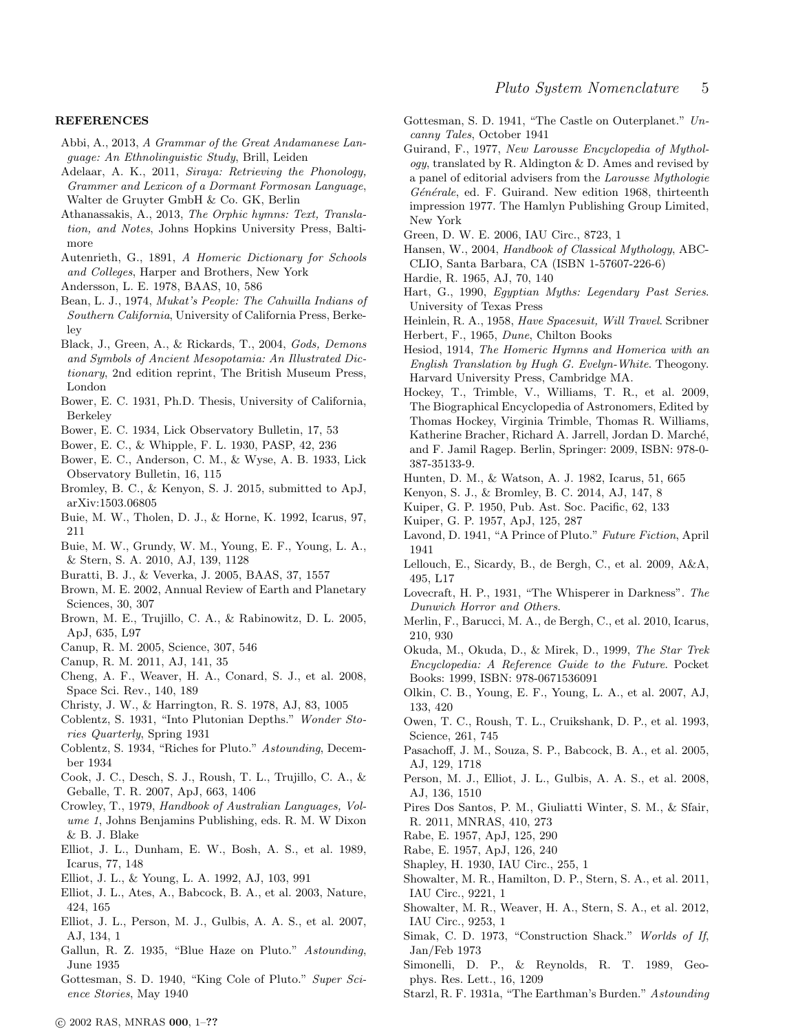#### REFERENCES

- Abbi, A., 2013, A Grammar of the Great Andamanese Language: An Ethnolinguistic Study, Brill, Leiden
- Adelaar, A. K., 2011, Siraya: Retrieving the Phonology, Grammer and Lexicon of a Dormant Formosan Language, Walter de Gruyter GmbH & Co. GK, Berlin
- Athanassakis, A., 2013, The Orphic hymns: Text, Translation, and Notes, Johns Hopkins University Press, Baltimore
- Autenrieth, G., 1891, A Homeric Dictionary for Schools and Colleges, Harper and Brothers, New York
- Andersson, L. E. 1978, BAAS, 10, 586
- Bean, L. J., 1974, Mukat's People: The Cahuilla Indians of Southern California, University of California Press, Berkeley
- Black, J., Green, A., & Rickards, T., 2004, Gods, Demons and Symbols of Ancient Mesopotamia: An Illustrated Dictionary, 2nd edition reprint, The British Museum Press, London
- Bower, E. C. 1931, Ph.D. Thesis, University of California, Berkeley
- Bower, E. C. 1934, Lick Observatory Bulletin, 17, 53
- Bower, E. C., & Whipple, F. L. 1930, PASP, 42, 236
- Bower, E. C., Anderson, C. M., & Wyse, A. B. 1933, Lick Observatory Bulletin, 16, 115
- Bromley, B. C., & Kenyon, S. J. 2015, submitted to ApJ, arXiv:1503.06805
- Buie, M. W., Tholen, D. J., & Horne, K. 1992, Icarus, 97, 211
- Buie, M. W., Grundy, W. M., Young, E. F., Young, L. A., & Stern, S. A. 2010, AJ, 139, 1128
- Buratti, B. J., & Veverka, J. 2005, BAAS, 37, 1557
- Brown, M. E. 2002, Annual Review of Earth and Planetary Sciences, 30, 307
- Brown, M. E., Trujillo, C. A., & Rabinowitz, D. L. 2005, ApJ, 635, L97
- Canup, R. M. 2005, Science, 307, 546
- Canup, R. M. 2011, AJ, 141, 35
- Cheng, A. F., Weaver, H. A., Conard, S. J., et al. 2008, Space Sci. Rev., 140, 189
- Christy, J. W., & Harrington, R. S. 1978, AJ, 83, 1005
- Coblentz, S. 1931, "Into Plutonian Depths." Wonder Stories Quarterly, Spring 1931
- Coblentz, S. 1934, "Riches for Pluto." Astounding, December 1934
- Cook, J. C., Desch, S. J., Roush, T. L., Trujillo, C. A., & Geballe, T. R. 2007, ApJ, 663, 1406
- Crowley, T., 1979, Handbook of Australian Languages, Volume 1, Johns Benjamins Publishing, eds. R. M. W Dixon & B. J. Blake
- Elliot, J. L., Dunham, E. W., Bosh, A. S., et al. 1989, Icarus, 77, 148
- Elliot, J. L., & Young, L. A. 1992, AJ, 103, 991
- Elliot, J. L., Ates, A., Babcock, B. A., et al. 2003, Nature, 424, 165
- Elliot, J. L., Person, M. J., Gulbis, A. A. S., et al. 2007, AJ, 134, 1
- Gallun, R. Z. 1935, "Blue Haze on Pluto." Astounding, June 1935
- Gottesman, S. D. 1940, "King Cole of Pluto." Super Science Stories, May 1940
- Gottesman, S. D. 1941, "The Castle on Outerplanet." Uncanny Tales, October 1941
- Guirand, F., 1977, New Larousse Encyclopedia of Mythol $ogy$ , translated by R. Aldington & D. Ames and revised by a panel of editorial advisers from the Larousse Mythologie Générale, ed. F. Guirand. New edition 1968, thirteenth impression 1977. The Hamlyn Publishing Group Limited, New York
- Green, D. W. E. 2006, IAU Circ., 8723, 1
- Hansen, W., 2004, Handbook of Classical Mythology, ABC-CLIO, Santa Barbara, CA (ISBN 1-57607-226-6)
- Hardie, R. 1965, AJ, 70, 140
- Hart, G., 1990, Egyptian Myths: Legendary Past Series. University of Texas Press
- Heinlein, R. A., 1958, Have Spacesuit, Will Travel. Scribner Herbert, F., 1965, Dune, Chilton Books
- Hesiod, 1914, The Homeric Hymns and Homerica with an English Translation by Hugh G. Evelyn-White. Theogony. Harvard University Press, Cambridge MA.
- Hockey, T., Trimble, V., Williams, T. R., et al. 2009, The Biographical Encyclopedia of Astronomers, Edited by Thomas Hockey, Virginia Trimble, Thomas R. Williams, Katherine Bracher, Richard A. Jarrell, Jordan D. Marché, and F. Jamil Ragep. Berlin, Springer: 2009, ISBN: 978-0- 387-35133-9.
- Hunten, D. M., & Watson, A. J. 1982, Icarus, 51, 665
- Kenyon, S. J., & Bromley, B. C. 2014, AJ, 147, 8
- Kuiper, G. P. 1950, Pub. Ast. Soc. Pacific, 62, 133
- Kuiper, G. P. 1957, ApJ, 125, 287
- Lavond, D. 1941, "A Prince of Pluto." Future Fiction, April 1941
- Lellouch, E., Sicardy, B., de Bergh, C., et al. 2009, A&A, 495, L17
- Lovecraft, H. P., 1931, "The Whisperer in Darkness". The Dunwich Horror and Others.
- Merlin, F., Barucci, M. A., de Bergh, C., et al. 2010, Icarus, 210, 930
- Okuda, M., Okuda, D., & Mirek, D., 1999, The Star Trek Encyclopedia: A Reference Guide to the Future. Pocket Books: 1999, ISBN: 978-0671536091
- Olkin, C. B., Young, E. F., Young, L. A., et al. 2007, AJ, 133, 420
- Owen, T. C., Roush, T. L., Cruikshank, D. P., et al. 1993, Science, 261, 745
- Pasachoff, J. M., Souza, S. P., Babcock, B. A., et al. 2005, AJ, 129, 1718
- Person, M. J., Elliot, J. L., Gulbis, A. A. S., et al. 2008, AJ, 136, 1510
- Pires Dos Santos, P. M., Giuliatti Winter, S. M., & Sfair, R. 2011, MNRAS, 410, 273
- Rabe, E. 1957, ApJ, 125, 290
- Rabe, E. 1957, ApJ, 126, 240
- Shapley, H. 1930, IAU Circ., 255, 1
- Showalter, M. R., Hamilton, D. P., Stern, S. A., et al. 2011, IAU Circ., 9221, 1
- Showalter, M. R., Weaver, H. A., Stern, S. A., et al. 2012, IAU Circ., 9253, 1
- Simak, C. D. 1973, "Construction Shack." Worlds of If, Jan/Feb 1973
- Simonelli, D. P., & Reynolds, R. T. 1989, Geophys. Res. Lett., 16, 1209
- Starzl, R. F. 1931a, "The Earthman's Burden." Astounding